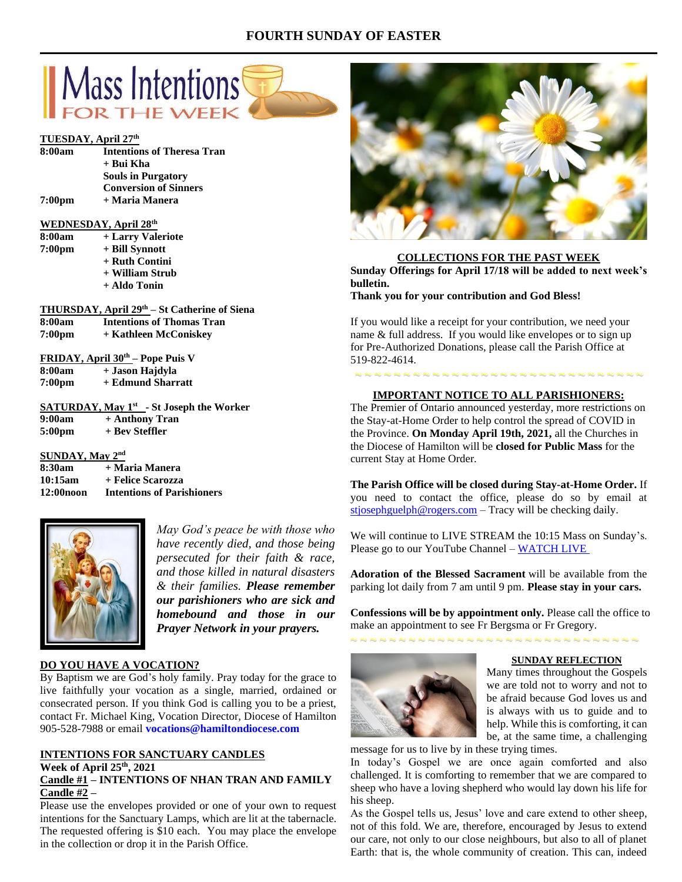# **FOURTH SUNDAY OF EASTER**



#### **TUESDAY, April 27 th**

| 8:00am             | <b>Intentions of Theresa Tran</b> |  |
|--------------------|-----------------------------------|--|
|                    | + Bui Kha                         |  |
|                    | <b>Souls in Purgatory</b>         |  |
|                    | <b>Conversion of Sinners</b>      |  |
| 7:00 <sub>pm</sub> | + Maria Manera                    |  |

## **WEDNESDAY, April 28 th**

| 8:00am | + Larry Valeriote |
|--------|-------------------|
| 7:00pm | + Bill Synnott    |
|        | + Ruth Contini    |
|        | + William Strub   |
|        | + Aldo Tonin      |

|                    | THURSDAY, April 29th – St Catherine of Siena       |
|--------------------|----------------------------------------------------|
| 8:00am             | <b>Intentions of Thomas Tran</b>                   |
| 7:00 <sub>pm</sub> | + Kathleen McConiskey                              |
|                    | <b>FRIDAY, April 30<sup>th</sup></b> – Pope Puis V |
| 8.00am             | $+$ Iason Haidyla                                  |

| v.vvam             | г оазон тырауш    |
|--------------------|-------------------|
| 7:00 <sub>pm</sub> | + Edmund Sharratt |

|                    |                | <b>SATURDAY, May <math>1^{st}</math> - St Joseph the Worker</b> |  |
|--------------------|----------------|-----------------------------------------------------------------|--|
| 9:00am             | + Anthony Tran |                                                                 |  |
| 5:00 <sub>pm</sub> | + Bev Steffler |                                                                 |  |

**SUNDAY, May 2nd 8:30am** + Maria Manera **10:15am + Felice Scarozza 12:00noon Intentions of Parishioners**



*May God's peace be with those who have recently died, and those being persecuted for their faith & race, and those killed in natural disasters & their families. Please remember our parishioners who are sick and homebound and those in our Prayer Network in your prayers.*

# **DO YOU HAVE A VOCATION?**

By Baptism we are God's holy family. Pray today for the grace to live faithfully your vocation as a single, married, ordained or consecrated person. If you think God is calling you to be a priest, contact Fr. Michael King, Vocation Director, Diocese of Hamilton 905-528-7988 or email **vocations@hamiltondiocese.com** 

# **INTENTIONS FOR SANCTUARY CANDLES**

#### **Week of April 25th, 2021 Candle #1 – INTENTIONS OF NHAN TRAN AND FAMILY Candle #2 –**

Please use the envelopes provided or one of your own to request intentions for the Sanctuary Lamps, which are lit at the tabernacle. The requested offering is \$10 each. You may place the envelope in the collection or drop it in the Parish Office.



# **COLLECTIONS FOR THE PAST WEEK**

**Sunday Offerings for April 17/18 will be added to next week's bulletin.**

**Thank you for your contribution and God Bless!**

If you would like a receipt for your contribution, we need your name & full address. If you would like envelopes or to sign up for Pre-Authorized Donations, please call the Parish Office at 519-822-4614.

# ~ ~ ~ ~ ~ ~ ~ ~ ~ ~ ~ ~ ~ ~ ~ ~ ~ ~ ~ ~ ~ ~ ~ ~ ~ ~ ~ ~ ~ ~ **IMPORTANT NOTICE TO ALL PARISHIONERS:**

The Premier of Ontario announced yesterday, more restrictions on the Stay-at-Home Order to help control the spread of COVID in the Province. **On Monday April 19th, 2021,** all the Churches in the Diocese of Hamilton will be **closed for Public Mass** for the current Stay at Home Order.

**The Parish Office will be closed during Stay-at-Home Order.** If you need to contact the office, please do so by email at [stjosephguelph@rogers.com](mailto:stjosephguelph@rogers.com) – Tracy will be checking daily.

We will continue to LIVE STREAM the 10:15 Mass on Sunday's. Please go to our YouTube Channel – [WATCH LIVE](https://www.youtube.com/channel/UCL59hxegD__FDJSdMDrt31w)

**Adoration of the Blessed Sacrament** will be available from the parking lot daily from 7 am until 9 pm. **Please stay in your cars.**

**Confessions will be by appointment only.** Please call the office to make an appointment to see Fr Bergsma or Fr Gregory.

~ ~ ~ ~ ~ ~ ~ ~ ~ ~ ~ ~ ~ ~ ~ ~ ~ ~ ~ ~ ~ ~ ~ ~ ~ ~ ~ ~ ~ ~



#### **SUNDAY REFLECTION**

Many times throughout the Gospels we are told not to worry and not to be afraid because God loves us and is always with us to guide and to help. While this is comforting, it can be, at the same time, a challenging

message for us to live by in these trying times.

In today's Gospel we are once again comforted and also challenged. It is comforting to remember that we are compared to sheep who have a loving shepherd who would lay down his life for his sheep.

As the Gospel tells us, Jesus' love and care extend to other sheep, not of this fold. We are, therefore, encouraged by Jesus to extend our care, not only to our close neighbours, but also to all of planet Earth: that is, the whole community of creation. This can, indeed